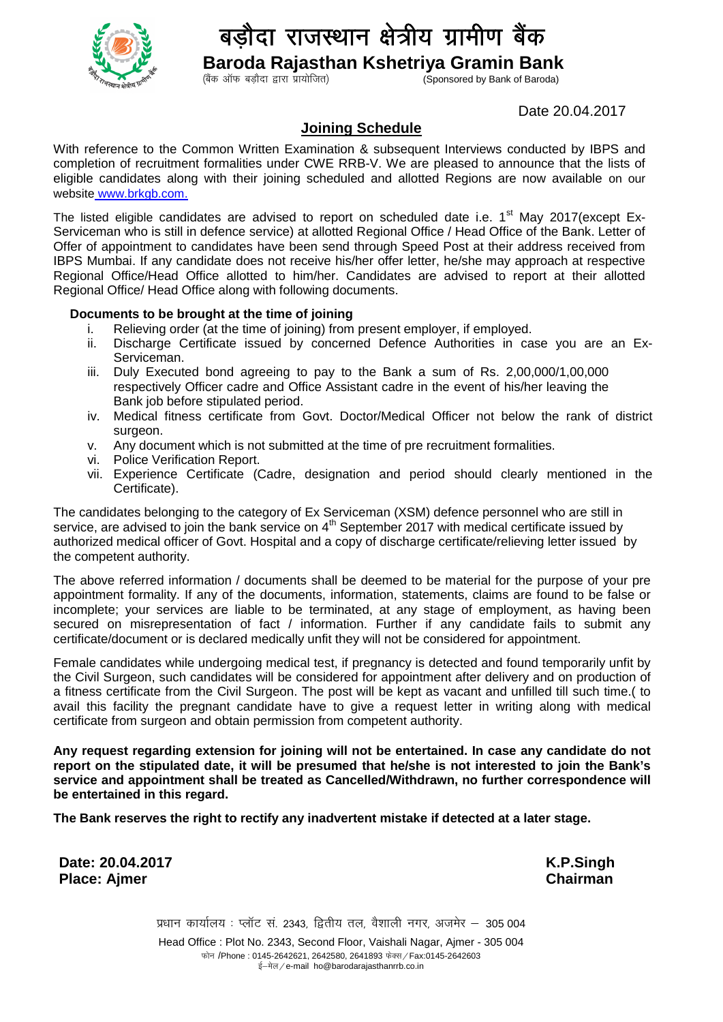

## दा राजस्थान क्षेत्रीय ग्रामीण बैंक

**Baroda Rajasthan Kshetriya Gramin Bank**

Sponsored by Bank of Baroda)

Date 20.04.2017

## **Joining Schedule**

With reference to the Common Written Examination & subsequent Interviews conducted by IBPS and completion of recruitment formalities under CWE RRB-V. We are pleased to announce that the lists of eligible candidates along with their joining scheduled and allotted Regions are now available on our website www.brkgb.com.

The listed eligible candidates are advised to report on scheduled date i.e.  $1<sup>st</sup>$  May 2017(except Ex-Serviceman who is still in defence service) at allotted Regional Office / Head Office of the Bank. Letter of Offer of appointment to candidates have been send through Speed Post at their address received from IBPS Mumbai. If any candidate does not receive his/her offer letter, he/she may approach at respective Regional Office/Head Office allotted to him/her. Candidates are advised to report at their allotted Regional Office/ Head Office along with following documents.

## **Documents to be brought at the time of joining**

- i. Relieving order (at the time of joining) from present employer, if employed.
- ii. Discharge Certificate issued by concerned Defence Authorities in case you are an Ex-Serviceman.
- iii. Duly Executed bond agreeing to pay to the Bank a sum of Rs. 2,00,000/1,00,000 respectively Officer cadre and Office Assistant cadre in the event of his/her leaving the Bank job before stipulated period.
- iv. Medical fitness certificate from Govt. Doctor/Medical Officer not below the rank of district surgeon.
- v. Any document which is not submitted at the time of pre recruitment formalities.
- vi. Police Verification Report.
- vii. Experience Certificate (Cadre, designation and period should clearly mentioned in the Certificate).

The candidates belonging to the category of Ex Serviceman (XSM) defence personnel who are still in service, are advised to join the bank service on  $4<sup>th</sup>$  September 2017 with medical certificate issued by authorized medical officer of Govt. Hospital and a copy of discharge certificate/relieving letter issued by the competent authority.

The above referred information / documents shall be deemed to be material for the purpose of your pre appointment formality. If any of the documents, information, statements, claims are found to be false or incomplete; your services are liable to be terminated, at any stage of employment, as having been secured on misrepresentation of fact / information. Further if any candidate fails to submit any certificate/document or is declared medically unfit they will not be considered for appointment.

Female candidates while undergoing medical test, if pregnancy is detected and found temporarily unfit by the Civil Surgeon, such candidates will be considered for appointment after delivery and on production of a fitness certificate from the Civil Surgeon. The post will be kept as vacant and unfilled till such time.( to avail this facility the pregnant candidate have to give a request letter in writing along with medical certificate from surgeon and obtain permission from competent authority.

**Any request regarding extension for joining will not be entertained. In case any candidate do not report on the stipulated date, it will be presumed that he/she is not interested to join the Bank's service and appointment shall be treated as Cancelled/Withdrawn, no further correspondence will be entertained in this regard.**

**The Bank reserves the right to rectify any inadvertent mistake if detected at a later stage.**

**Date: 20.04.2017 K.P.Singh Place: Ajmer Chairman**

प्रधान कार्यालय : प्लॉट सं. 2343, द्वितीय तल, वैशाली नगर, अजमेर – 305 004 Head Office : Plot No. 2343, Second Floor, Vaishali Nagar, Ajmer - 305 004 फोन /Phone : 0145-2642621, 2642580, 2641893 फेक्स / Fax:0145-2642603 ई-मेल / e-mail ho@barodarajasthanrrb.co.in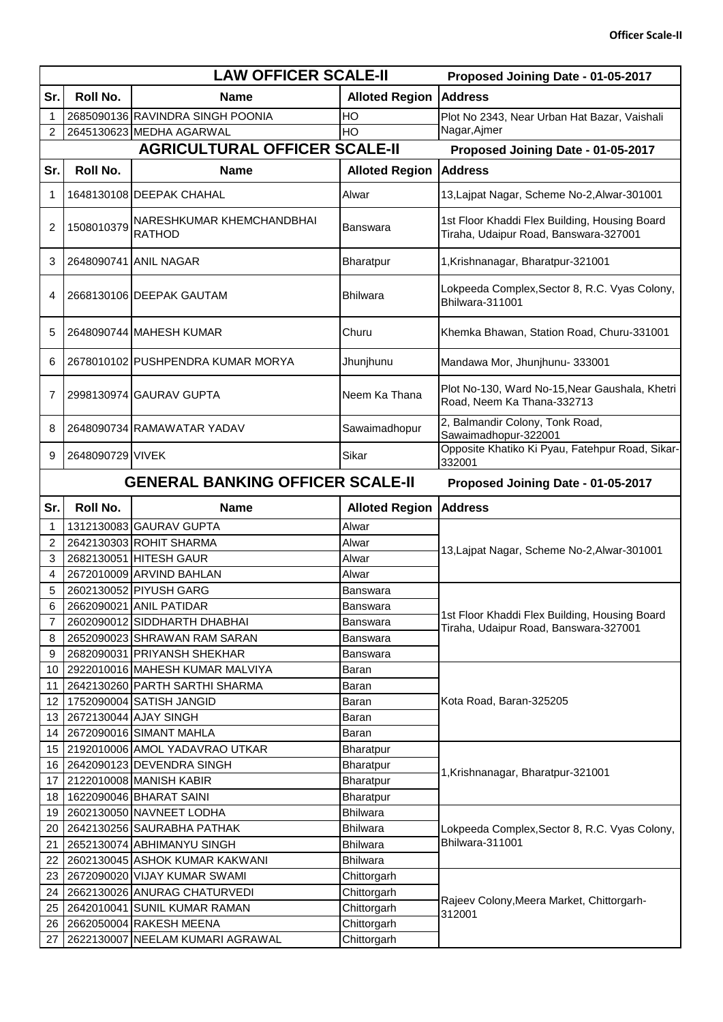|                | <b>LAW OFFICER SCALE-II</b> |                                            | Proposed Joining Date - 01-05-2017 |                                                                                        |
|----------------|-----------------------------|--------------------------------------------|------------------------------------|----------------------------------------------------------------------------------------|
| Sr.            | Roll No.                    | <b>Name</b>                                | <b>Alloted Region</b>              | <b>Address</b>                                                                         |
|                |                             | 2685090136 RAVINDRA SINGH POONIA           | HO                                 | Plot No 2343, Near Urban Hat Bazar, Vaishali                                           |
| 2              |                             | 2645130623 MEDHA AGARWAL                   | HO                                 | Nagar, Ajmer                                                                           |
|                |                             | <b>AGRICULTURAL OFFICER SCALE-II</b>       |                                    | Proposed Joining Date - 01-05-2017                                                     |
| Sr.            | Roll No.                    | <b>Name</b>                                | <b>Alloted Region</b>              | <b>Address</b>                                                                         |
| 1              |                             | 1648130108 DEEPAK CHAHAL                   | Alwar                              | 13, Lajpat Nagar, Scheme No-2, Alwar-301001                                            |
| 2              | 1508010379                  | NARESHKUMAR KHEMCHANDBHAI<br><b>RATHOD</b> | Banswara                           | 1st Floor Khaddi Flex Building, Housing Board<br>Tiraha, Udaipur Road, Banswara-327001 |
| 3              |                             | 2648090741 ANIL NAGAR                      | Bharatpur                          | 1, Krishnanagar, Bharatpur-321001                                                      |
| 4              |                             | 2668130106 DEEPAK GAUTAM                   | <b>Bhilwara</b>                    | Lokpeeda Complex, Sector 8, R.C. Vyas Colony,<br>Bhilwara-311001                       |
| 5              |                             | 2648090744 MAHESH KUMAR                    | Churu                              | Khemka Bhawan, Station Road, Churu-331001                                              |
| 6              |                             | 2678010102 PUSHPENDRA KUMAR MORYA          | Jhunjhunu                          | Mandawa Mor, Jhunjhunu- 333001                                                         |
| 7              |                             | 2998130974 GAURAV GUPTA                    | Neem Ka Thana                      | Plot No-130, Ward No-15, Near Gaushala, Khetri<br>Road, Neem Ka Thana-332713           |
| 8              |                             | 2648090734 RAMAWATAR YADAV                 | Sawaimadhopur                      | 2, Balmandir Colony, Tonk Road,<br>Sawaimadhopur-322001                                |
| 9              | 2648090729 VIVEK            |                                            | Sikar                              | Opposite Khatiko Ki Pyau, Fatehpur Road, Sikar-<br>332001                              |
|                |                             | <b>GENERAL BANKING OFFICER SCALE-II</b>    |                                    | Proposed Joining Date - 01-05-2017                                                     |
| Sr.            | Roll No.                    | <b>Name</b>                                | <b>Alloted Region</b>              | <b>Address</b>                                                                         |
| 1              |                             | 1312130083 GAURAV GUPTA                    | Alwar                              |                                                                                        |
| $\overline{2}$ |                             | 2642130303 ROHIT SHARMA                    | Alwar                              |                                                                                        |
| 3              |                             | 2682130051 HITESH GAUR                     | Alwar                              | 13, Lajpat Nagar, Scheme No-2, Alwar-301001                                            |
| 4              |                             | 2672010009 ARVIND BAHLAN                   | Alwar                              |                                                                                        |
| 5              |                             | 2602130052 PIYUSH GARG                     | Banswara                           |                                                                                        |
| 6              |                             | 2662090021 ANIL PATIDAR                    | Banswara                           |                                                                                        |
| 7              |                             | 2602090012 SIDDHARTH DHABHAI               | Banswara                           | 1st Floor Khaddi Flex Building, Housing Board                                          |
| 8              |                             | 2652090023 SHRAWAN RAM SARAN               | Banswara                           | Tiraha, Udaipur Road, Banswara-327001                                                  |
| 9              |                             | 2682090031 PRIYANSH SHEKHAR                | Banswara                           |                                                                                        |
| 10             |                             | 2922010016 MAHESH KUMAR MALVIYA            | Baran                              |                                                                                        |
| 11             |                             | 2642130260 PARTH SARTHI SHARMA             | Baran                              |                                                                                        |
| 12             |                             | 1752090004 SATISH JANGID                   | Baran                              | Kota Road, Baran-325205                                                                |
| 13             |                             | 2672130044 AJAY SINGH                      | Baran                              |                                                                                        |
| 14             |                             | 2672090016 SIMANT MAHLA                    | Baran                              |                                                                                        |
| 15             |                             | 2192010006 AMOL YADAVRAO UTKAR             | Bharatpur                          |                                                                                        |
| 16             |                             | 2642090123 DEVENDRA SINGH                  | Bharatpur                          |                                                                                        |
| 17             |                             | 2122010008 MANISH KABIR                    | Bharatpur                          | 1, Krishnanagar, Bharatpur-321001                                                      |
| 18             |                             | 1622090046 BHARAT SAINI                    | <b>Bharatpur</b>                   |                                                                                        |
| 19             |                             | 2602130050 NAVNEET LODHA                   | <b>Bhilwara</b>                    |                                                                                        |
| 20             |                             | 2642130256 SAURABHA PATHAK                 | <b>Bhilwara</b>                    | Lokpeeda Complex, Sector 8, R.C. Vyas Colony,                                          |
| 21             |                             | 2652130074 ABHIMANYU SINGH                 | <b>Bhilwara</b>                    | Bhilwara-311001                                                                        |
| 22             |                             | 2602130045 ASHOK KUMAR KAKWANI             | <b>Bhilwara</b>                    |                                                                                        |
| 23             |                             | 2672090020 VIJAY KUMAR SWAMI               | Chittorgarh                        |                                                                                        |
| 24             |                             | 2662130026 ANURAG CHATURVEDI               | Chittorgarh                        |                                                                                        |
| 25             |                             | 2642010041 SUNIL KUMAR RAMAN               | Chittorgarh                        | Rajeev Colony, Meera Market, Chittorgarh-                                              |
| 26             |                             | 2662050004 RAKESH MEENA                    | Chittorgarh                        | 312001                                                                                 |
| 27             |                             | 2622130007 NEELAM KUMARI AGRAWAL           | Chittorgarh                        |                                                                                        |
|                |                             |                                            |                                    |                                                                                        |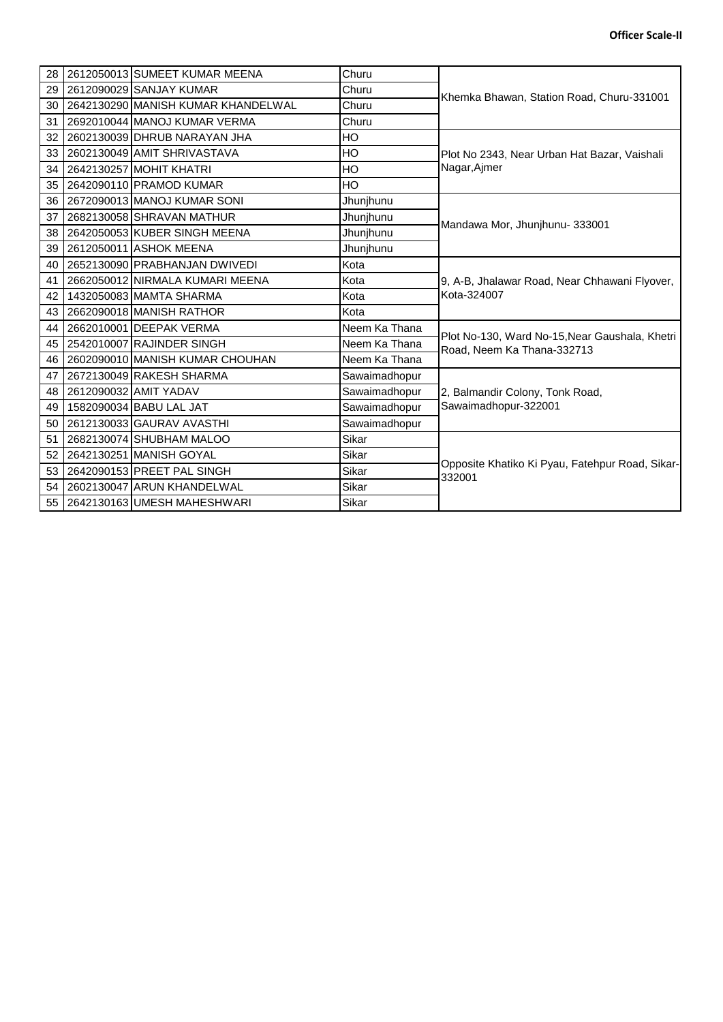| 28              | 2612050013 SUMEET KUMAR MEENA      | Churu         |                                                                              |
|-----------------|------------------------------------|---------------|------------------------------------------------------------------------------|
| 29              | 2612090029 SANJAY KUMAR            | Churu         | Khemka Bhawan, Station Road, Churu-331001                                    |
| 30              | 2642130290 MANISH KUMAR KHANDELWAL | Churu         |                                                                              |
| 31              | 2692010044 MANOJ KUMAR VERMA       | Churu         |                                                                              |
| 32              | 2602130039 DHRUB NARAYAN JHA       | HO            |                                                                              |
| 33              | 2602130049 AMIT SHRIVASTAVA        | HO            | Plot No 2343, Near Urban Hat Bazar, Vaishali                                 |
| 34              | 2642130257 MOHIT KHATRI            | HO            | Nagar, Ajmer                                                                 |
| 35              | 2642090110 PRAMOD KUMAR            | HO            |                                                                              |
| 36              | 2672090013 MANOJ KUMAR SONI        | Jhunjhunu     |                                                                              |
| 37              | 2682130058 SHRAVAN MATHUR          | Jhunjhunu     | Mandawa Mor, Jhunjhunu-333001                                                |
| 38              | 2642050053 KUBER SINGH MEENA       | Jhunjhunu     |                                                                              |
| 39              | 2612050011 ASHOK MEENA             | Jhunjhunu     |                                                                              |
| 40              | 2652130090 PRABHANJAN DWIVEDI      | Kota          |                                                                              |
| 41              | 2662050012 NIRMALA KUMARI MEENA    | Kota          | 9, A-B, Jhalawar Road, Near Chhawani Flyover,                                |
| 42              | 1432050083 MAMTA SHARMA            | Kota          | Kota-324007                                                                  |
| 43              | 2662090018 MANISH RATHOR           | Kota          |                                                                              |
| 44              | 2662010001 DEEPAK VERMA            | Neem Ka Thana |                                                                              |
| 45              | 2542010007 RAJINDER SINGH          | Neem Ka Thana | Plot No-130, Ward No-15, Near Gaushala, Khetri<br>Road, Neem Ka Thana-332713 |
| 46              | 2602090010 MANISH KUMAR CHOUHAN    | Neem Ka Thana |                                                                              |
| 47              | 2672130049 RAKESH SHARMA           | Sawaimadhopur |                                                                              |
| 48              | 2612090032 AMIT YADAV              | Sawaimadhopur | 2, Balmandir Colony, Tonk Road,                                              |
| 49              | 1582090034 BABU LAL JAT            | Sawaimadhopur | Sawaimadhopur-322001                                                         |
| 50              | 2612130033 GAURAV AVASTHI          | Sawaimadhopur |                                                                              |
| 51              | 2682130074 SHUBHAM MALOO           | Sikar         |                                                                              |
| 52              | 2642130251 MANISH GOYAL            | Sikar         |                                                                              |
| 53 <sub>1</sub> | 2642090153 PREET PAL SINGH         | Sikar         | Opposite Khatiko Ki Pyau, Fatehpur Road, Sikar-<br>332001                    |
| 54              | 2602130047 ARUN KHANDELWAL         | Sikar         |                                                                              |
|                 | 55 2642130163 UMESH MAHESHWARI     | Sikar         |                                                                              |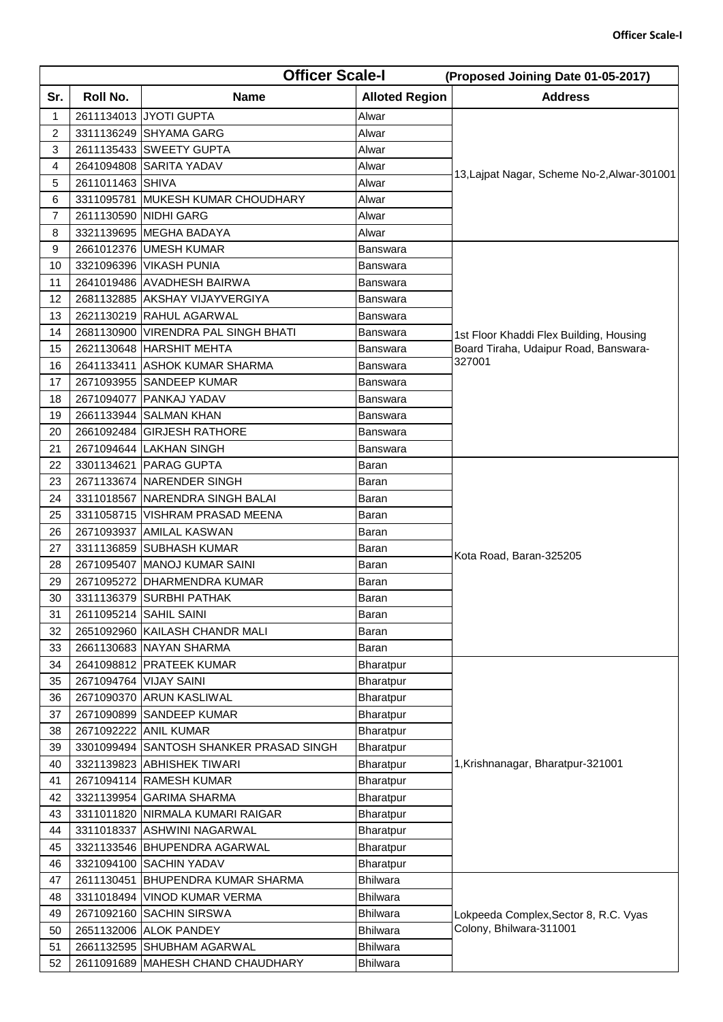| Sr.<br>Roll No.<br><b>Alloted Region</b><br><b>Address</b><br><b>Name</b><br>2611134013 JYOTI GUPTA<br>Alwar<br>1<br>$\overline{c}$<br>3311136249 SHYAMA GARG<br>Alwar<br>3<br>2611135433 SWEETY GUPTA<br>Alwar<br>2641094808 SARITA YADAV<br>4<br>Alwar<br>2611011463 SHIVA<br>5<br>Alwar<br>6<br>3311095781 MUKESH KUMAR CHOUDHARY<br>Alwar<br>2611130590 NIDHI GARG<br>7<br>Alwar<br>3321139695 MEGHA BADAYA<br>Alwar<br>8<br>9<br>2661012376 UMESH KUMAR<br>Banswara<br>3321096396 VIKASH PUNIA<br>10<br>Banswara<br>2641019486 AVADHESH BAIRWA<br>11<br>Banswara<br>2681132885 AKSHAY VIJAYVERGIYA<br>12<br>Banswara<br>13<br>2621130219 RAHUL AGARWAL<br>Banswara<br>2681130900 VIRENDRA PAL SINGH BHATI<br>14<br>Banswara<br>1st Floor Khaddi Flex Building, Housing<br>Board Tiraha, Udaipur Road, Banswara-<br>15<br>2621130648 HARSHIT MEHTA<br>Banswara<br>327001<br>16<br>2641133411 ASHOK KUMAR SHARMA<br>Banswara<br>2671093955 SANDEEP KUMAR<br>17<br>Banswara<br>2671094077 PANKAJ YADAV<br>18<br>Banswara<br>2661133944 SALMAN KHAN<br>19<br>Banswara<br>2661092484 GIRJESH RATHORE<br>20<br>Banswara<br>2671094644 LAKHAN SINGH<br>21<br>Banswara<br>22<br>3301134621 PARAG GUPTA<br>Baran<br>2671133674 NARENDER SINGH<br>23<br>Baran<br>3311018567 NARENDRA SINGH BALAI<br>24<br>Baran<br>3311058715 VISHRAM PRASAD MEENA<br>25<br>Baran<br>2671093937 AMILAL KASWAN<br>26<br>Baran<br>3311136859 SUBHASH KUMAR<br>27<br>Baran<br>Kota Road, Baran-325205<br>2671095407 MANOJ KUMAR SAINI<br>28<br>Baran<br>29<br>2671095272 DHARMENDRA KUMAR<br>Baran<br>3311136379 SURBHI PATHAK<br>30<br>Baran<br>2611095214 SAHIL SAINI<br>31<br>Baran<br>2651092960 KAILASH CHANDR MALI<br>Baran<br>32<br>2661130683 NAYAN SHARMA<br>Baran<br>33<br>34<br>2641098812 PRATEEK KUMAR<br>Bharatpur<br>2671094764 VIJAY SAINI<br>35<br>Bharatpur<br>2671090370 ARUN KASLIWAL<br>36<br>Bharatpur<br>2671090899 SANDEEP KUMAR<br>37<br>Bharatpur<br>2671092222 ANIL KUMAR<br>38<br>Bharatpur<br>3301099494 SANTOSH SHANKER PRASAD SINGH<br>39<br><b>Bharatpur</b><br>40<br>3321139823 ABHISHEK TIWARI<br>1, Krishnanagar, Bharatpur-321001<br>Bharatpur<br>2671094114 RAMESH KUMAR<br>41<br><b>Bharatpur</b><br>3321139954 GARIMA SHARMA<br>42<br>Bharatpur<br>3311011820 NIRMALA KUMARI RAIGAR<br>43<br>Bharatpur<br>3311018337 ASHWINI NAGARWAL<br>44<br>Bharatpur<br>45<br>3321133546 BHUPENDRA AGARWAL<br><b>Bharatpur</b><br>3321094100 SACHIN YADAV<br>46<br>Bharatpur<br>47<br>2611130451 BHUPENDRA KUMAR SHARMA<br><b>Bhilwara</b><br>3311018494 VINOD KUMAR VERMA<br><b>Bhilwara</b><br>48<br>49<br>2671092160 SACHIN SIRSWA<br><b>Bhilwara</b><br>Lokpeeda Complex, Sector 8, R.C. Vyas<br>Colony, Bhilwara-311001<br>2651132006 ALOK PANDEY<br>50<br>Bhilwara<br>51<br>2661132595 SHUBHAM AGARWAL<br><b>Bhilwara</b> |    | <b>Officer Scale-I</b> |  | (Proposed Joining Date 01-05-2017) |
|------------------------------------------------------------------------------------------------------------------------------------------------------------------------------------------------------------------------------------------------------------------------------------------------------------------------------------------------------------------------------------------------------------------------------------------------------------------------------------------------------------------------------------------------------------------------------------------------------------------------------------------------------------------------------------------------------------------------------------------------------------------------------------------------------------------------------------------------------------------------------------------------------------------------------------------------------------------------------------------------------------------------------------------------------------------------------------------------------------------------------------------------------------------------------------------------------------------------------------------------------------------------------------------------------------------------------------------------------------------------------------------------------------------------------------------------------------------------------------------------------------------------------------------------------------------------------------------------------------------------------------------------------------------------------------------------------------------------------------------------------------------------------------------------------------------------------------------------------------------------------------------------------------------------------------------------------------------------------------------------------------------------------------------------------------------------------------------------------------------------------------------------------------------------------------------------------------------------------------------------------------------------------------------------------------------------------------------------------------------------------------------------------------------------------------------------------------------------------------------------------------------------------------------------------------------------------------------------------------------------------------------------------------------------------------------------------------------------------------------------------------------------------------------------------------------------------------|----|------------------------|--|------------------------------------|
|                                                                                                                                                                                                                                                                                                                                                                                                                                                                                                                                                                                                                                                                                                                                                                                                                                                                                                                                                                                                                                                                                                                                                                                                                                                                                                                                                                                                                                                                                                                                                                                                                                                                                                                                                                                                                                                                                                                                                                                                                                                                                                                                                                                                                                                                                                                                                                                                                                                                                                                                                                                                                                                                                                                                                                                                                                    |    |                        |  |                                    |
|                                                                                                                                                                                                                                                                                                                                                                                                                                                                                                                                                                                                                                                                                                                                                                                                                                                                                                                                                                                                                                                                                                                                                                                                                                                                                                                                                                                                                                                                                                                                                                                                                                                                                                                                                                                                                                                                                                                                                                                                                                                                                                                                                                                                                                                                                                                                                                                                                                                                                                                                                                                                                                                                                                                                                                                                                                    |    |                        |  |                                    |
|                                                                                                                                                                                                                                                                                                                                                                                                                                                                                                                                                                                                                                                                                                                                                                                                                                                                                                                                                                                                                                                                                                                                                                                                                                                                                                                                                                                                                                                                                                                                                                                                                                                                                                                                                                                                                                                                                                                                                                                                                                                                                                                                                                                                                                                                                                                                                                                                                                                                                                                                                                                                                                                                                                                                                                                                                                    |    |                        |  |                                    |
| 13, Lajpat Nagar, Scheme No-2, Alwar-301001                                                                                                                                                                                                                                                                                                                                                                                                                                                                                                                                                                                                                                                                                                                                                                                                                                                                                                                                                                                                                                                                                                                                                                                                                                                                                                                                                                                                                                                                                                                                                                                                                                                                                                                                                                                                                                                                                                                                                                                                                                                                                                                                                                                                                                                                                                                                                                                                                                                                                                                                                                                                                                                                                                                                                                                        |    |                        |  |                                    |
|                                                                                                                                                                                                                                                                                                                                                                                                                                                                                                                                                                                                                                                                                                                                                                                                                                                                                                                                                                                                                                                                                                                                                                                                                                                                                                                                                                                                                                                                                                                                                                                                                                                                                                                                                                                                                                                                                                                                                                                                                                                                                                                                                                                                                                                                                                                                                                                                                                                                                                                                                                                                                                                                                                                                                                                                                                    |    |                        |  |                                    |
|                                                                                                                                                                                                                                                                                                                                                                                                                                                                                                                                                                                                                                                                                                                                                                                                                                                                                                                                                                                                                                                                                                                                                                                                                                                                                                                                                                                                                                                                                                                                                                                                                                                                                                                                                                                                                                                                                                                                                                                                                                                                                                                                                                                                                                                                                                                                                                                                                                                                                                                                                                                                                                                                                                                                                                                                                                    |    |                        |  |                                    |
|                                                                                                                                                                                                                                                                                                                                                                                                                                                                                                                                                                                                                                                                                                                                                                                                                                                                                                                                                                                                                                                                                                                                                                                                                                                                                                                                                                                                                                                                                                                                                                                                                                                                                                                                                                                                                                                                                                                                                                                                                                                                                                                                                                                                                                                                                                                                                                                                                                                                                                                                                                                                                                                                                                                                                                                                                                    |    |                        |  |                                    |
|                                                                                                                                                                                                                                                                                                                                                                                                                                                                                                                                                                                                                                                                                                                                                                                                                                                                                                                                                                                                                                                                                                                                                                                                                                                                                                                                                                                                                                                                                                                                                                                                                                                                                                                                                                                                                                                                                                                                                                                                                                                                                                                                                                                                                                                                                                                                                                                                                                                                                                                                                                                                                                                                                                                                                                                                                                    |    |                        |  |                                    |
|                                                                                                                                                                                                                                                                                                                                                                                                                                                                                                                                                                                                                                                                                                                                                                                                                                                                                                                                                                                                                                                                                                                                                                                                                                                                                                                                                                                                                                                                                                                                                                                                                                                                                                                                                                                                                                                                                                                                                                                                                                                                                                                                                                                                                                                                                                                                                                                                                                                                                                                                                                                                                                                                                                                                                                                                                                    |    |                        |  |                                    |
|                                                                                                                                                                                                                                                                                                                                                                                                                                                                                                                                                                                                                                                                                                                                                                                                                                                                                                                                                                                                                                                                                                                                                                                                                                                                                                                                                                                                                                                                                                                                                                                                                                                                                                                                                                                                                                                                                                                                                                                                                                                                                                                                                                                                                                                                                                                                                                                                                                                                                                                                                                                                                                                                                                                                                                                                                                    |    |                        |  |                                    |
|                                                                                                                                                                                                                                                                                                                                                                                                                                                                                                                                                                                                                                                                                                                                                                                                                                                                                                                                                                                                                                                                                                                                                                                                                                                                                                                                                                                                                                                                                                                                                                                                                                                                                                                                                                                                                                                                                                                                                                                                                                                                                                                                                                                                                                                                                                                                                                                                                                                                                                                                                                                                                                                                                                                                                                                                                                    |    |                        |  |                                    |
|                                                                                                                                                                                                                                                                                                                                                                                                                                                                                                                                                                                                                                                                                                                                                                                                                                                                                                                                                                                                                                                                                                                                                                                                                                                                                                                                                                                                                                                                                                                                                                                                                                                                                                                                                                                                                                                                                                                                                                                                                                                                                                                                                                                                                                                                                                                                                                                                                                                                                                                                                                                                                                                                                                                                                                                                                                    |    |                        |  |                                    |
|                                                                                                                                                                                                                                                                                                                                                                                                                                                                                                                                                                                                                                                                                                                                                                                                                                                                                                                                                                                                                                                                                                                                                                                                                                                                                                                                                                                                                                                                                                                                                                                                                                                                                                                                                                                                                                                                                                                                                                                                                                                                                                                                                                                                                                                                                                                                                                                                                                                                                                                                                                                                                                                                                                                                                                                                                                    |    |                        |  |                                    |
|                                                                                                                                                                                                                                                                                                                                                                                                                                                                                                                                                                                                                                                                                                                                                                                                                                                                                                                                                                                                                                                                                                                                                                                                                                                                                                                                                                                                                                                                                                                                                                                                                                                                                                                                                                                                                                                                                                                                                                                                                                                                                                                                                                                                                                                                                                                                                                                                                                                                                                                                                                                                                                                                                                                                                                                                                                    |    |                        |  |                                    |
|                                                                                                                                                                                                                                                                                                                                                                                                                                                                                                                                                                                                                                                                                                                                                                                                                                                                                                                                                                                                                                                                                                                                                                                                                                                                                                                                                                                                                                                                                                                                                                                                                                                                                                                                                                                                                                                                                                                                                                                                                                                                                                                                                                                                                                                                                                                                                                                                                                                                                                                                                                                                                                                                                                                                                                                                                                    |    |                        |  |                                    |
|                                                                                                                                                                                                                                                                                                                                                                                                                                                                                                                                                                                                                                                                                                                                                                                                                                                                                                                                                                                                                                                                                                                                                                                                                                                                                                                                                                                                                                                                                                                                                                                                                                                                                                                                                                                                                                                                                                                                                                                                                                                                                                                                                                                                                                                                                                                                                                                                                                                                                                                                                                                                                                                                                                                                                                                                                                    |    |                        |  |                                    |
|                                                                                                                                                                                                                                                                                                                                                                                                                                                                                                                                                                                                                                                                                                                                                                                                                                                                                                                                                                                                                                                                                                                                                                                                                                                                                                                                                                                                                                                                                                                                                                                                                                                                                                                                                                                                                                                                                                                                                                                                                                                                                                                                                                                                                                                                                                                                                                                                                                                                                                                                                                                                                                                                                                                                                                                                                                    |    |                        |  |                                    |
|                                                                                                                                                                                                                                                                                                                                                                                                                                                                                                                                                                                                                                                                                                                                                                                                                                                                                                                                                                                                                                                                                                                                                                                                                                                                                                                                                                                                                                                                                                                                                                                                                                                                                                                                                                                                                                                                                                                                                                                                                                                                                                                                                                                                                                                                                                                                                                                                                                                                                                                                                                                                                                                                                                                                                                                                                                    |    |                        |  |                                    |
|                                                                                                                                                                                                                                                                                                                                                                                                                                                                                                                                                                                                                                                                                                                                                                                                                                                                                                                                                                                                                                                                                                                                                                                                                                                                                                                                                                                                                                                                                                                                                                                                                                                                                                                                                                                                                                                                                                                                                                                                                                                                                                                                                                                                                                                                                                                                                                                                                                                                                                                                                                                                                                                                                                                                                                                                                                    |    |                        |  |                                    |
|                                                                                                                                                                                                                                                                                                                                                                                                                                                                                                                                                                                                                                                                                                                                                                                                                                                                                                                                                                                                                                                                                                                                                                                                                                                                                                                                                                                                                                                                                                                                                                                                                                                                                                                                                                                                                                                                                                                                                                                                                                                                                                                                                                                                                                                                                                                                                                                                                                                                                                                                                                                                                                                                                                                                                                                                                                    |    |                        |  |                                    |
|                                                                                                                                                                                                                                                                                                                                                                                                                                                                                                                                                                                                                                                                                                                                                                                                                                                                                                                                                                                                                                                                                                                                                                                                                                                                                                                                                                                                                                                                                                                                                                                                                                                                                                                                                                                                                                                                                                                                                                                                                                                                                                                                                                                                                                                                                                                                                                                                                                                                                                                                                                                                                                                                                                                                                                                                                                    |    |                        |  |                                    |
|                                                                                                                                                                                                                                                                                                                                                                                                                                                                                                                                                                                                                                                                                                                                                                                                                                                                                                                                                                                                                                                                                                                                                                                                                                                                                                                                                                                                                                                                                                                                                                                                                                                                                                                                                                                                                                                                                                                                                                                                                                                                                                                                                                                                                                                                                                                                                                                                                                                                                                                                                                                                                                                                                                                                                                                                                                    |    |                        |  |                                    |
|                                                                                                                                                                                                                                                                                                                                                                                                                                                                                                                                                                                                                                                                                                                                                                                                                                                                                                                                                                                                                                                                                                                                                                                                                                                                                                                                                                                                                                                                                                                                                                                                                                                                                                                                                                                                                                                                                                                                                                                                                                                                                                                                                                                                                                                                                                                                                                                                                                                                                                                                                                                                                                                                                                                                                                                                                                    |    |                        |  |                                    |
|                                                                                                                                                                                                                                                                                                                                                                                                                                                                                                                                                                                                                                                                                                                                                                                                                                                                                                                                                                                                                                                                                                                                                                                                                                                                                                                                                                                                                                                                                                                                                                                                                                                                                                                                                                                                                                                                                                                                                                                                                                                                                                                                                                                                                                                                                                                                                                                                                                                                                                                                                                                                                                                                                                                                                                                                                                    |    |                        |  |                                    |
|                                                                                                                                                                                                                                                                                                                                                                                                                                                                                                                                                                                                                                                                                                                                                                                                                                                                                                                                                                                                                                                                                                                                                                                                                                                                                                                                                                                                                                                                                                                                                                                                                                                                                                                                                                                                                                                                                                                                                                                                                                                                                                                                                                                                                                                                                                                                                                                                                                                                                                                                                                                                                                                                                                                                                                                                                                    |    |                        |  |                                    |
|                                                                                                                                                                                                                                                                                                                                                                                                                                                                                                                                                                                                                                                                                                                                                                                                                                                                                                                                                                                                                                                                                                                                                                                                                                                                                                                                                                                                                                                                                                                                                                                                                                                                                                                                                                                                                                                                                                                                                                                                                                                                                                                                                                                                                                                                                                                                                                                                                                                                                                                                                                                                                                                                                                                                                                                                                                    |    |                        |  |                                    |
|                                                                                                                                                                                                                                                                                                                                                                                                                                                                                                                                                                                                                                                                                                                                                                                                                                                                                                                                                                                                                                                                                                                                                                                                                                                                                                                                                                                                                                                                                                                                                                                                                                                                                                                                                                                                                                                                                                                                                                                                                                                                                                                                                                                                                                                                                                                                                                                                                                                                                                                                                                                                                                                                                                                                                                                                                                    |    |                        |  |                                    |
|                                                                                                                                                                                                                                                                                                                                                                                                                                                                                                                                                                                                                                                                                                                                                                                                                                                                                                                                                                                                                                                                                                                                                                                                                                                                                                                                                                                                                                                                                                                                                                                                                                                                                                                                                                                                                                                                                                                                                                                                                                                                                                                                                                                                                                                                                                                                                                                                                                                                                                                                                                                                                                                                                                                                                                                                                                    |    |                        |  |                                    |
|                                                                                                                                                                                                                                                                                                                                                                                                                                                                                                                                                                                                                                                                                                                                                                                                                                                                                                                                                                                                                                                                                                                                                                                                                                                                                                                                                                                                                                                                                                                                                                                                                                                                                                                                                                                                                                                                                                                                                                                                                                                                                                                                                                                                                                                                                                                                                                                                                                                                                                                                                                                                                                                                                                                                                                                                                                    |    |                        |  |                                    |
|                                                                                                                                                                                                                                                                                                                                                                                                                                                                                                                                                                                                                                                                                                                                                                                                                                                                                                                                                                                                                                                                                                                                                                                                                                                                                                                                                                                                                                                                                                                                                                                                                                                                                                                                                                                                                                                                                                                                                                                                                                                                                                                                                                                                                                                                                                                                                                                                                                                                                                                                                                                                                                                                                                                                                                                                                                    |    |                        |  |                                    |
|                                                                                                                                                                                                                                                                                                                                                                                                                                                                                                                                                                                                                                                                                                                                                                                                                                                                                                                                                                                                                                                                                                                                                                                                                                                                                                                                                                                                                                                                                                                                                                                                                                                                                                                                                                                                                                                                                                                                                                                                                                                                                                                                                                                                                                                                                                                                                                                                                                                                                                                                                                                                                                                                                                                                                                                                                                    |    |                        |  |                                    |
|                                                                                                                                                                                                                                                                                                                                                                                                                                                                                                                                                                                                                                                                                                                                                                                                                                                                                                                                                                                                                                                                                                                                                                                                                                                                                                                                                                                                                                                                                                                                                                                                                                                                                                                                                                                                                                                                                                                                                                                                                                                                                                                                                                                                                                                                                                                                                                                                                                                                                                                                                                                                                                                                                                                                                                                                                                    |    |                        |  |                                    |
|                                                                                                                                                                                                                                                                                                                                                                                                                                                                                                                                                                                                                                                                                                                                                                                                                                                                                                                                                                                                                                                                                                                                                                                                                                                                                                                                                                                                                                                                                                                                                                                                                                                                                                                                                                                                                                                                                                                                                                                                                                                                                                                                                                                                                                                                                                                                                                                                                                                                                                                                                                                                                                                                                                                                                                                                                                    |    |                        |  |                                    |
|                                                                                                                                                                                                                                                                                                                                                                                                                                                                                                                                                                                                                                                                                                                                                                                                                                                                                                                                                                                                                                                                                                                                                                                                                                                                                                                                                                                                                                                                                                                                                                                                                                                                                                                                                                                                                                                                                                                                                                                                                                                                                                                                                                                                                                                                                                                                                                                                                                                                                                                                                                                                                                                                                                                                                                                                                                    |    |                        |  |                                    |
|                                                                                                                                                                                                                                                                                                                                                                                                                                                                                                                                                                                                                                                                                                                                                                                                                                                                                                                                                                                                                                                                                                                                                                                                                                                                                                                                                                                                                                                                                                                                                                                                                                                                                                                                                                                                                                                                                                                                                                                                                                                                                                                                                                                                                                                                                                                                                                                                                                                                                                                                                                                                                                                                                                                                                                                                                                    |    |                        |  |                                    |
|                                                                                                                                                                                                                                                                                                                                                                                                                                                                                                                                                                                                                                                                                                                                                                                                                                                                                                                                                                                                                                                                                                                                                                                                                                                                                                                                                                                                                                                                                                                                                                                                                                                                                                                                                                                                                                                                                                                                                                                                                                                                                                                                                                                                                                                                                                                                                                                                                                                                                                                                                                                                                                                                                                                                                                                                                                    |    |                        |  |                                    |
|                                                                                                                                                                                                                                                                                                                                                                                                                                                                                                                                                                                                                                                                                                                                                                                                                                                                                                                                                                                                                                                                                                                                                                                                                                                                                                                                                                                                                                                                                                                                                                                                                                                                                                                                                                                                                                                                                                                                                                                                                                                                                                                                                                                                                                                                                                                                                                                                                                                                                                                                                                                                                                                                                                                                                                                                                                    |    |                        |  |                                    |
|                                                                                                                                                                                                                                                                                                                                                                                                                                                                                                                                                                                                                                                                                                                                                                                                                                                                                                                                                                                                                                                                                                                                                                                                                                                                                                                                                                                                                                                                                                                                                                                                                                                                                                                                                                                                                                                                                                                                                                                                                                                                                                                                                                                                                                                                                                                                                                                                                                                                                                                                                                                                                                                                                                                                                                                                                                    |    |                        |  |                                    |
|                                                                                                                                                                                                                                                                                                                                                                                                                                                                                                                                                                                                                                                                                                                                                                                                                                                                                                                                                                                                                                                                                                                                                                                                                                                                                                                                                                                                                                                                                                                                                                                                                                                                                                                                                                                                                                                                                                                                                                                                                                                                                                                                                                                                                                                                                                                                                                                                                                                                                                                                                                                                                                                                                                                                                                                                                                    |    |                        |  |                                    |
|                                                                                                                                                                                                                                                                                                                                                                                                                                                                                                                                                                                                                                                                                                                                                                                                                                                                                                                                                                                                                                                                                                                                                                                                                                                                                                                                                                                                                                                                                                                                                                                                                                                                                                                                                                                                                                                                                                                                                                                                                                                                                                                                                                                                                                                                                                                                                                                                                                                                                                                                                                                                                                                                                                                                                                                                                                    |    |                        |  |                                    |
|                                                                                                                                                                                                                                                                                                                                                                                                                                                                                                                                                                                                                                                                                                                                                                                                                                                                                                                                                                                                                                                                                                                                                                                                                                                                                                                                                                                                                                                                                                                                                                                                                                                                                                                                                                                                                                                                                                                                                                                                                                                                                                                                                                                                                                                                                                                                                                                                                                                                                                                                                                                                                                                                                                                                                                                                                                    |    |                        |  |                                    |
|                                                                                                                                                                                                                                                                                                                                                                                                                                                                                                                                                                                                                                                                                                                                                                                                                                                                                                                                                                                                                                                                                                                                                                                                                                                                                                                                                                                                                                                                                                                                                                                                                                                                                                                                                                                                                                                                                                                                                                                                                                                                                                                                                                                                                                                                                                                                                                                                                                                                                                                                                                                                                                                                                                                                                                                                                                    |    |                        |  |                                    |
|                                                                                                                                                                                                                                                                                                                                                                                                                                                                                                                                                                                                                                                                                                                                                                                                                                                                                                                                                                                                                                                                                                                                                                                                                                                                                                                                                                                                                                                                                                                                                                                                                                                                                                                                                                                                                                                                                                                                                                                                                                                                                                                                                                                                                                                                                                                                                                                                                                                                                                                                                                                                                                                                                                                                                                                                                                    |    |                        |  |                                    |
|                                                                                                                                                                                                                                                                                                                                                                                                                                                                                                                                                                                                                                                                                                                                                                                                                                                                                                                                                                                                                                                                                                                                                                                                                                                                                                                                                                                                                                                                                                                                                                                                                                                                                                                                                                                                                                                                                                                                                                                                                                                                                                                                                                                                                                                                                                                                                                                                                                                                                                                                                                                                                                                                                                                                                                                                                                    |    |                        |  |                                    |
|                                                                                                                                                                                                                                                                                                                                                                                                                                                                                                                                                                                                                                                                                                                                                                                                                                                                                                                                                                                                                                                                                                                                                                                                                                                                                                                                                                                                                                                                                                                                                                                                                                                                                                                                                                                                                                                                                                                                                                                                                                                                                                                                                                                                                                                                                                                                                                                                                                                                                                                                                                                                                                                                                                                                                                                                                                    |    |                        |  |                                    |
|                                                                                                                                                                                                                                                                                                                                                                                                                                                                                                                                                                                                                                                                                                                                                                                                                                                                                                                                                                                                                                                                                                                                                                                                                                                                                                                                                                                                                                                                                                                                                                                                                                                                                                                                                                                                                                                                                                                                                                                                                                                                                                                                                                                                                                                                                                                                                                                                                                                                                                                                                                                                                                                                                                                                                                                                                                    |    |                        |  |                                    |
|                                                                                                                                                                                                                                                                                                                                                                                                                                                                                                                                                                                                                                                                                                                                                                                                                                                                                                                                                                                                                                                                                                                                                                                                                                                                                                                                                                                                                                                                                                                                                                                                                                                                                                                                                                                                                                                                                                                                                                                                                                                                                                                                                                                                                                                                                                                                                                                                                                                                                                                                                                                                                                                                                                                                                                                                                                    |    |                        |  |                                    |
|                                                                                                                                                                                                                                                                                                                                                                                                                                                                                                                                                                                                                                                                                                                                                                                                                                                                                                                                                                                                                                                                                                                                                                                                                                                                                                                                                                                                                                                                                                                                                                                                                                                                                                                                                                                                                                                                                                                                                                                                                                                                                                                                                                                                                                                                                                                                                                                                                                                                                                                                                                                                                                                                                                                                                                                                                                    |    |                        |  |                                    |
|                                                                                                                                                                                                                                                                                                                                                                                                                                                                                                                                                                                                                                                                                                                                                                                                                                                                                                                                                                                                                                                                                                                                                                                                                                                                                                                                                                                                                                                                                                                                                                                                                                                                                                                                                                                                                                                                                                                                                                                                                                                                                                                                                                                                                                                                                                                                                                                                                                                                                                                                                                                                                                                                                                                                                                                                                                    |    |                        |  |                                    |
|                                                                                                                                                                                                                                                                                                                                                                                                                                                                                                                                                                                                                                                                                                                                                                                                                                                                                                                                                                                                                                                                                                                                                                                                                                                                                                                                                                                                                                                                                                                                                                                                                                                                                                                                                                                                                                                                                                                                                                                                                                                                                                                                                                                                                                                                                                                                                                                                                                                                                                                                                                                                                                                                                                                                                                                                                                    |    |                        |  |                                    |
|                                                                                                                                                                                                                                                                                                                                                                                                                                                                                                                                                                                                                                                                                                                                                                                                                                                                                                                                                                                                                                                                                                                                                                                                                                                                                                                                                                                                                                                                                                                                                                                                                                                                                                                                                                                                                                                                                                                                                                                                                                                                                                                                                                                                                                                                                                                                                                                                                                                                                                                                                                                                                                                                                                                                                                                                                                    |    |                        |  |                                    |
|                                                                                                                                                                                                                                                                                                                                                                                                                                                                                                                                                                                                                                                                                                                                                                                                                                                                                                                                                                                                                                                                                                                                                                                                                                                                                                                                                                                                                                                                                                                                                                                                                                                                                                                                                                                                                                                                                                                                                                                                                                                                                                                                                                                                                                                                                                                                                                                                                                                                                                                                                                                                                                                                                                                                                                                                                                    |    |                        |  |                                    |
| 2611091689 MAHESH CHAND CHAUDHARY<br><b>Bhilwara</b>                                                                                                                                                                                                                                                                                                                                                                                                                                                                                                                                                                                                                                                                                                                                                                                                                                                                                                                                                                                                                                                                                                                                                                                                                                                                                                                                                                                                                                                                                                                                                                                                                                                                                                                                                                                                                                                                                                                                                                                                                                                                                                                                                                                                                                                                                                                                                                                                                                                                                                                                                                                                                                                                                                                                                                               | 52 |                        |  |                                    |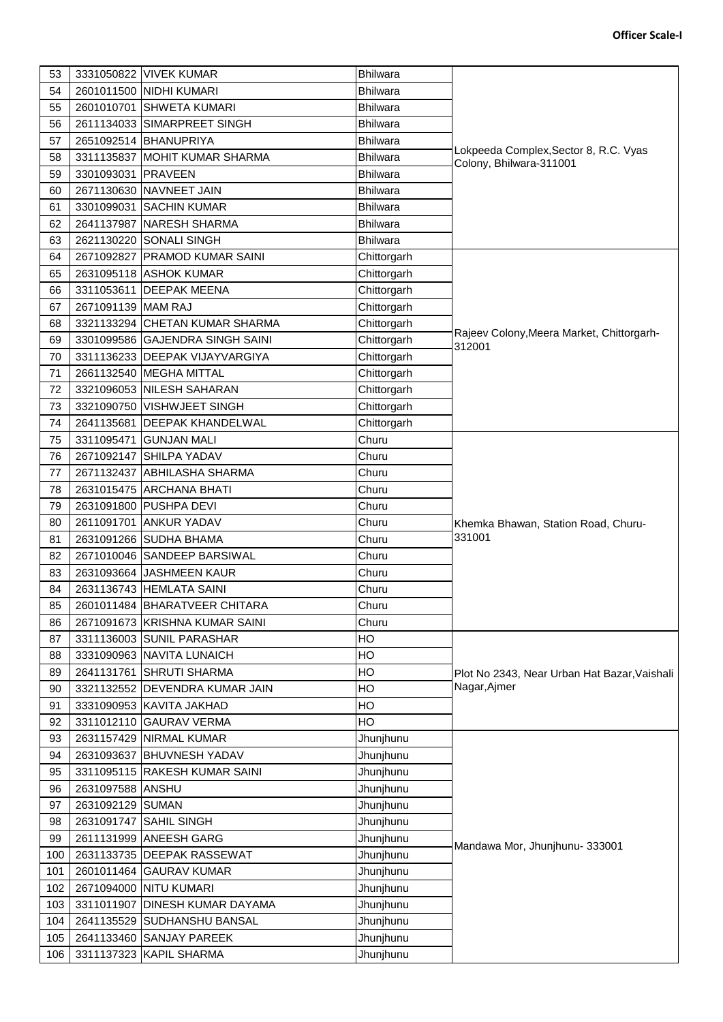| 53  |                    | 3331050822 VIVEK KUMAR          | <b>Bhilwara</b> |                                                                  |
|-----|--------------------|---------------------------------|-----------------|------------------------------------------------------------------|
| 54  |                    | 2601011500 NIDHI KUMARI         | <b>Bhilwara</b> |                                                                  |
| 55  |                    | 2601010701 SHWETA KUMARI        | <b>Bhilwara</b> |                                                                  |
| 56  |                    | 2611134033 SIMARPREET SINGH     | <b>Bhilwara</b> |                                                                  |
| 57  |                    | 2651092514 BHANUPRIYA           | <b>Bhilwara</b> |                                                                  |
| 58  |                    | 3311135837 MOHIT KUMAR SHARMA   | <b>Bhilwara</b> | Lokpeeda Complex, Sector 8, R.C. Vyas<br>Colony, Bhilwara-311001 |
| 59  | 3301093031 PRAVEEN |                                 | <b>Bhilwara</b> |                                                                  |
| 60  |                    | 2671130630 NAVNEET JAIN         | <b>Bhilwara</b> |                                                                  |
| 61  |                    | 3301099031 SACHIN KUMAR         | <b>Bhilwara</b> |                                                                  |
| 62  |                    | 2641137987 NARESH SHARMA        | <b>Bhilwara</b> |                                                                  |
| 63  |                    | 2621130220 SONALI SINGH         | <b>Bhilwara</b> |                                                                  |
| 64  |                    | 2671092827 PRAMOD KUMAR SAINI   | Chittorgarh     |                                                                  |
| 65  |                    | 2631095118 ASHOK KUMAR          | Chittorgarh     |                                                                  |
| 66  |                    | 3311053611 DEEPAK MEENA         | Chittorgarh     |                                                                  |
| 67  | 2671091139 MAM RAJ |                                 | Chittorgarh     |                                                                  |
| 68  |                    | 3321133294 CHETAN KUMAR SHARMA  | Chittorgarh     |                                                                  |
| 69  |                    | 3301099586 GAJENDRA SINGH SAINI | Chittorgarh     | Rajeev Colony, Meera Market, Chittorgarh-                        |
| 70  |                    | 3311136233 DEEPAK VIJAYVARGIYA  | Chittorgarh     | 312001                                                           |
| 71  |                    | 2661132540 MEGHA MITTAL         | Chittorgarh     |                                                                  |
| 72  |                    | 3321096053 NILESH SAHARAN       | Chittorgarh     |                                                                  |
|     |                    |                                 |                 |                                                                  |
| 73  |                    | 3321090750 VISHWJEET SINGH      | Chittorgarh     |                                                                  |
| 74  |                    | 2641135681 DEEPAK KHANDELWAL    | Chittorgarh     |                                                                  |
| 75  | 3311095471         | <b>GUNJAN MALI</b>              | Churu           |                                                                  |
| 76  |                    | 2671092147 SHILPA YADAV         | Churu           |                                                                  |
| 77  |                    | 2671132437 ABHILASHA SHARMA     | Churu           |                                                                  |
| 78  |                    | 2631015475 ARCHANA BHATI        | Churu           |                                                                  |
| 79  |                    | 2631091800 PUSHPA DEVI          | Churu           |                                                                  |
| 80  |                    | 2611091701 ANKUR YADAV          | Churu           | Khemka Bhawan, Station Road, Churu-                              |
| 81  |                    | 2631091266 SUDHA BHAMA          | Churu           | 331001                                                           |
| 82  |                    | 2671010046 SANDEEP BARSIWAL     | Churu           |                                                                  |
| 83  |                    | 2631093664 JASHMEEN KAUR        | Churu           |                                                                  |
| 84  |                    | 2631136743 HEMLATA SAINI        | Churu           |                                                                  |
| 85  |                    | 2601011484 BHARATVEER CHITARA   | Churu           |                                                                  |
| 86  |                    | 2671091673 KRISHNA KUMAR SAINI  | Churu           |                                                                  |
| 87  |                    | 3311136003 SUNIL PARASHAR       | HO              |                                                                  |
| 88  |                    | 3331090963 NAVITA LUNAICH       | HO              |                                                                  |
| 89  |                    | 2641131761 SHRUTI SHARMA        | HO              | Plot No 2343, Near Urban Hat Bazar, Vaishali                     |
| 90  |                    | 3321132552 DEVENDRA KUMAR JAIN  | <b>HO</b>       | Nagar, Ajmer                                                     |
| 91  |                    | 3331090953 KAVITA JAKHAD        | HO              |                                                                  |
| 92  |                    | 3311012110 GAURAV VERMA         | HO              |                                                                  |
| 93  |                    | 2631157429 NIRMAL KUMAR         | Jhunjhunu       |                                                                  |
| 94  |                    | 2631093637 BHUVNESH YADAV       | Jhunjhunu       |                                                                  |
| 95  |                    | 3311095115 RAKESH KUMAR SAINI   | Jhunjhunu       |                                                                  |
| 96  | 2631097588 ANSHU   |                                 | Jhunjhunu       |                                                                  |
| 97  | 2631092129 SUMAN   |                                 | Jhunjhunu       |                                                                  |
| 98  |                    | 2631091747 SAHIL SINGH          | Jhunjhunu       |                                                                  |
| 99  |                    | 2611131999 ANEESH GARG          | Jhunjhunu       |                                                                  |
| 100 |                    | 2631133735 DEEPAK RASSEWAT      | Jhunjhunu       | Mandawa Mor, Jhunjhunu-333001                                    |
| 101 |                    | 2601011464 GAURAV KUMAR         | Jhunjhunu       |                                                                  |
| 102 |                    | 2671094000 NITU KUMARI          | Jhunjhunu       |                                                                  |
| 103 | 3311011907         | <b>DINESH KUMAR DAYAMA</b>      | Jhunjhunu       |                                                                  |
| 104 |                    | 2641135529 SUDHANSHU BANSAL     | Jhunjhunu       |                                                                  |
| 105 |                    | 2641133460 SANJAY PAREEK        | Jhunjhunu       |                                                                  |
| 106 |                    | 3311137323 KAPIL SHARMA         | Jhunjhunu       |                                                                  |
|     |                    |                                 |                 |                                                                  |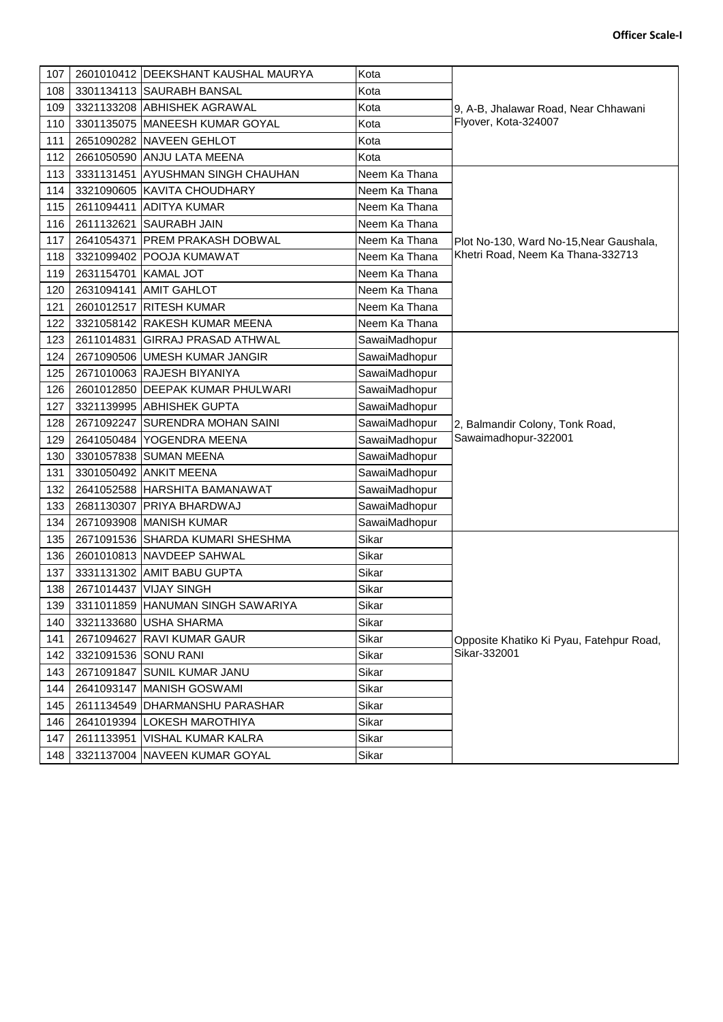| <b>Officer Scale-I</b> |
|------------------------|
|                        |
|                        |

| 107 |                      | 2601010412 DEEKSHANT KAUSHAL MAURYA | Kota          |                                                         |
|-----|----------------------|-------------------------------------|---------------|---------------------------------------------------------|
| 108 |                      | 3301134113 SAURABH BANSAL           | Kota          |                                                         |
| 109 |                      | 3321133208 ABHISHEK AGRAWAL         | Kota          | 9, A-B, Jhalawar Road, Near Chhawani                    |
| 110 |                      | 3301135075 MANEESH KUMAR GOYAL      | Kota          | Flyover, Kota-324007                                    |
| 111 |                      | 2651090282 NAVEEN GEHLOT            | Kota          |                                                         |
| 112 |                      | 2661050590 ANJU LATA MEENA          | Kota          |                                                         |
| 113 |                      | 3331131451 AYUSHMAN SINGH CHAUHAN   | Neem Ka Thana |                                                         |
| 114 |                      | 3321090605 KAVITA CHOUDHARY         | Neem Ka Thana |                                                         |
| 115 |                      | 2611094411 ADITYA KUMAR             | Neem Ka Thana |                                                         |
| 116 |                      | 2611132621 SAURABH JAIN             | Neem Ka Thana |                                                         |
| 117 |                      | 2641054371 PREM PRAKASH DOBWAL      | Neem Ka Thana | Plot No-130, Ward No-15, Near Gaushala,                 |
| 118 |                      | 3321099402 POOJA KUMAWAT            | Neem Ka Thana | Khetri Road, Neem Ka Thana-332713                       |
| 119 | 2631154701 KAMAL JOT |                                     | Neem Ka Thana |                                                         |
| 120 |                      | 2631094141 AMIT GAHLOT              | Neem Ka Thana |                                                         |
| 121 |                      | 2601012517 RITESH KUMAR             | Neem Ka Thana |                                                         |
| 122 |                      | 3321058142 RAKESH KUMAR MEENA       | Neem Ka Thana |                                                         |
| 123 |                      | 2611014831 GIRRAJ PRASAD ATHWAL     | SawaiMadhopur |                                                         |
| 124 |                      | 2671090506 UMESH KUMAR JANGIR       | SawaiMadhopur |                                                         |
| 125 |                      | 2671010063 RAJESH BIYANIYA          | SawaiMadhopur |                                                         |
| 126 |                      | 2601012850 DEEPAK KUMAR PHULWARI    | SawaiMadhopur | 2, Balmandir Colony, Tonk Road,<br>Sawaimadhopur-322001 |
| 127 |                      | 3321139995 ABHISHEK GUPTA           | SawaiMadhopur |                                                         |
| 128 |                      | 2671092247 SURENDRA MOHAN SAINI     | SawaiMadhopur |                                                         |
| 129 |                      | 2641050484 YOGENDRA MEENA           | SawaiMadhopur |                                                         |
| 130 |                      | 3301057838 SUMAN MEENA              | SawaiMadhopur |                                                         |
| 131 |                      | 3301050492 ANKIT MEENA              | SawaiMadhopur |                                                         |
| 132 |                      | 2641052588 HARSHITA BAMANAWAT       | SawaiMadhopur |                                                         |
| 133 |                      | 2681130307 PRIYA BHARDWAJ           | SawaiMadhopur |                                                         |
| 134 |                      | 2671093908 MANISH KUMAR             | SawaiMadhopur |                                                         |
| 135 |                      | 2671091536 SHARDA KUMARI SHESHMA    | Sikar         |                                                         |
| 136 |                      | 2601010813 NAVDEEP SAHWAL           | Sikar         |                                                         |
| 137 |                      | 3331131302 AMIT BABU GUPTA          | Sikar         |                                                         |
| 138 |                      | 2671014437 VIJAY SINGH              | Sikar         |                                                         |
| 139 |                      | 3311011859 HANUMAN SINGH SAWARIYA   | Sikar         |                                                         |
| 140 |                      | 3321133680 USHA SHARMA              | Sikar         |                                                         |
| 141 |                      | 2671094627 RAVI KUMAR GAUR          | Sikar         | Opposite Khatiko Ki Pyau, Fatehpur Road,                |
| 142 | 3321091536 SONU RANI |                                     | Sikar         | Sikar-332001                                            |
| 143 |                      | 2671091847 SUNIL KUMAR JANU         | Sikar         |                                                         |
| 144 |                      | 2641093147 MANISH GOSWAMI           | Sikar         |                                                         |
| 145 |                      | 2611134549 DHARMANSHU PARASHAR      | Sikar         |                                                         |
| 146 |                      | 2641019394 LOKESH MAROTHIYA         | Sikar         |                                                         |
| 147 | 2611133951           | <b>VISHAL KUMAR KALRA</b>           | Sikar         |                                                         |
| 148 |                      | 3321137004 NAVEEN KUMAR GOYAL       | Sikar         |                                                         |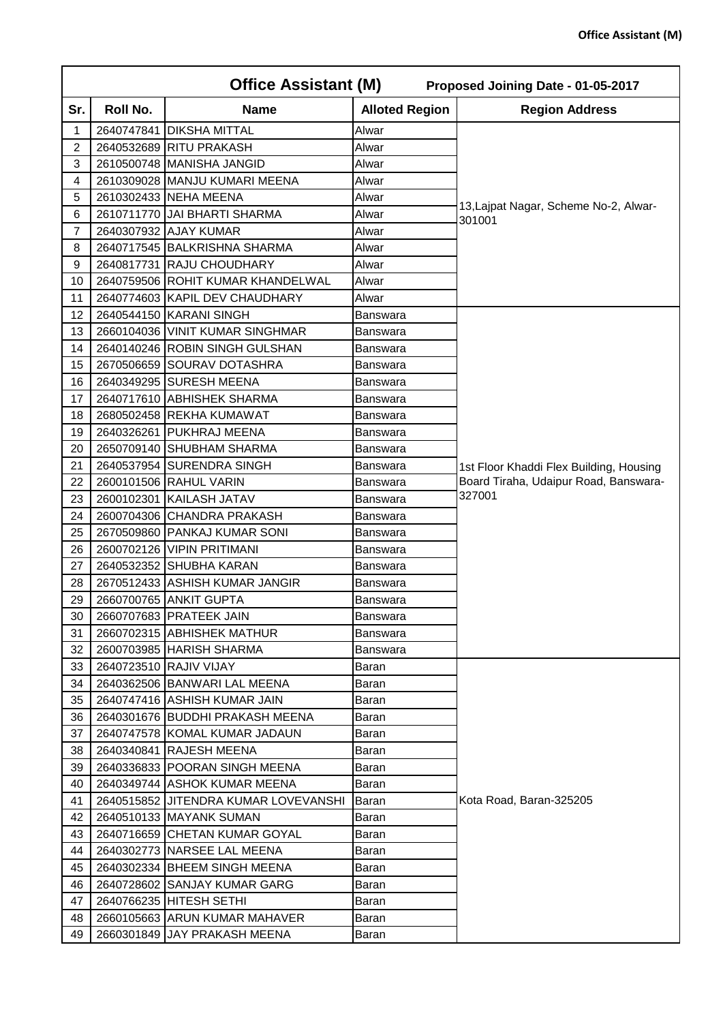|                | <b>Office Assistant (M)</b><br>Proposed Joining Date - 01-05-2017 |                                       |                       |                                         |  |
|----------------|-------------------------------------------------------------------|---------------------------------------|-----------------------|-----------------------------------------|--|
| Sr.            | Roll No.                                                          | <b>Name</b>                           | <b>Alloted Region</b> | <b>Region Address</b>                   |  |
| 1              |                                                                   | 2640747841 DIKSHA MITTAL              | Alwar                 |                                         |  |
| $\overline{c}$ |                                                                   | 2640532689 RITU PRAKASH               | Alwar                 |                                         |  |
| 3              |                                                                   | 2610500748 MANISHA JANGID             | Alwar                 |                                         |  |
| 4              |                                                                   | 2610309028 MANJU KUMARI MEENA         | Alwar                 |                                         |  |
| 5              |                                                                   | 2610302433 NEHA MEENA                 | Alwar                 | 13, Lajpat Nagar, Scheme No-2, Alwar-   |  |
| 6              |                                                                   | 2610711770 JJAI BHARTI SHARMA         | Alwar                 | 301001                                  |  |
| $\overline{7}$ |                                                                   | 2640307932 AJAY KUMAR                 | Alwar                 |                                         |  |
| 8              |                                                                   | 2640717545 BALKRISHNA SHARMA          | Alwar                 |                                         |  |
| 9              |                                                                   | 2640817731 RAJU CHOUDHARY             | Alwar                 |                                         |  |
| 10             |                                                                   | 2640759506 ROHIT KUMAR KHANDELWAL     | Alwar                 |                                         |  |
| 11             |                                                                   | 2640774603 KAPIL DEV CHAUDHARY        | Alwar                 |                                         |  |
| 12             |                                                                   | 2640544150 KARANI SINGH               | Banswara              |                                         |  |
| 13             |                                                                   | 2660104036 VINIT KUMAR SINGHMAR       | <b>Banswara</b>       |                                         |  |
| 14             |                                                                   | 2640140246 ROBIN SINGH GULSHAN        | Banswara              |                                         |  |
| 15             |                                                                   | 2670506659 SOURAV DOTASHRA            | Banswara              |                                         |  |
| 16             |                                                                   | 2640349295 SURESH MEENA               | Banswara              |                                         |  |
| 17             |                                                                   | 2640717610 ABHISHEK SHARMA            | Banswara              |                                         |  |
| 18             |                                                                   | 2680502458 REKHA KUMAWAT              | <b>Banswara</b>       |                                         |  |
| 19             |                                                                   | 2640326261 PUKHRAJ MEENA              | Banswara              |                                         |  |
| 20             |                                                                   | 2650709140 SHUBHAM SHARMA             | Banswara              |                                         |  |
| 21             |                                                                   | 2640537954 SURENDRA SINGH             | Banswara              | 1st Floor Khaddi Flex Building, Housing |  |
| 22             |                                                                   | 2600101506 RAHUL VARIN                | Banswara              | Board Tiraha, Udaipur Road, Banswara-   |  |
| 23             |                                                                   | 2600102301 KAILASH JATAV              | Banswara              | 327001                                  |  |
| 24             |                                                                   | 2600704306 CHANDRA PRAKASH            | Banswara              |                                         |  |
| 25             |                                                                   | 2670509860 PANKAJ KUMAR SONI          | Banswara              |                                         |  |
| 26             |                                                                   | 2600702126 VIPIN PRITIMANI            | Banswara              |                                         |  |
| 27             |                                                                   | 2640532352 SHUBHA KARAN               | Banswara              |                                         |  |
| 28             |                                                                   | 2670512433 ASHISH KUMAR JANGIR        | Banswara              |                                         |  |
| 29             |                                                                   | 2660700765 ANKIT GUPTA                | Banswara              |                                         |  |
| 30             |                                                                   | 2660707683 PRATEEK JAIN               | <b>Banswara</b>       |                                         |  |
| 31             |                                                                   | 2660702315 ABHISHEK MATHUR            | Banswara              |                                         |  |
| 32             |                                                                   | 2600703985 HARISH SHARMA              | Banswara              |                                         |  |
| 33             |                                                                   | 2640723510 RAJIV VIJAY                | Baran                 |                                         |  |
| 34             |                                                                   | 2640362506 BANWARI LAL MEENA          | Baran                 |                                         |  |
| 35             |                                                                   | 2640747416 ASHISH KUMAR JAIN          | Baran                 |                                         |  |
| 36             |                                                                   | 2640301676 BUDDHI PRAKASH MEENA       | Baran                 |                                         |  |
| 37             |                                                                   | 2640747578 KOMAL KUMAR JADAUN         | Baran                 |                                         |  |
| 38             |                                                                   | 2640340841 RAJESH MEENA               | Baran                 |                                         |  |
| 39             |                                                                   | 2640336833 POORAN SINGH MEENA         | Baran                 |                                         |  |
| 40             |                                                                   | 2640349744 ASHOK KUMAR MEENA          | Baran                 |                                         |  |
| 41             |                                                                   | 2640515852 JJITENDRA KUMAR LOVEVANSHI | Baran                 | Kota Road, Baran-325205                 |  |
| 42             |                                                                   | 2640510133 MAYANK SUMAN               | Baran                 |                                         |  |
| 43             |                                                                   | 2640716659 CHETAN KUMAR GOYAL         | Baran                 |                                         |  |
| 44             |                                                                   | 2640302773 NARSEE LAL MEENA           | Baran                 |                                         |  |
| 45             |                                                                   | 2640302334 BHEEM SINGH MEENA          | Baran                 |                                         |  |
| 46             |                                                                   | 2640728602 SANJAY KUMAR GARG          | Baran                 |                                         |  |
| 47             |                                                                   | 2640766235 HITESH SETHI               | Baran                 |                                         |  |
| 48             |                                                                   | 2660105663 ARUN KUMAR MAHAVER         | Baran                 |                                         |  |
| 49             |                                                                   | 2660301849 JAY PRAKASH MEENA          | Baran                 |                                         |  |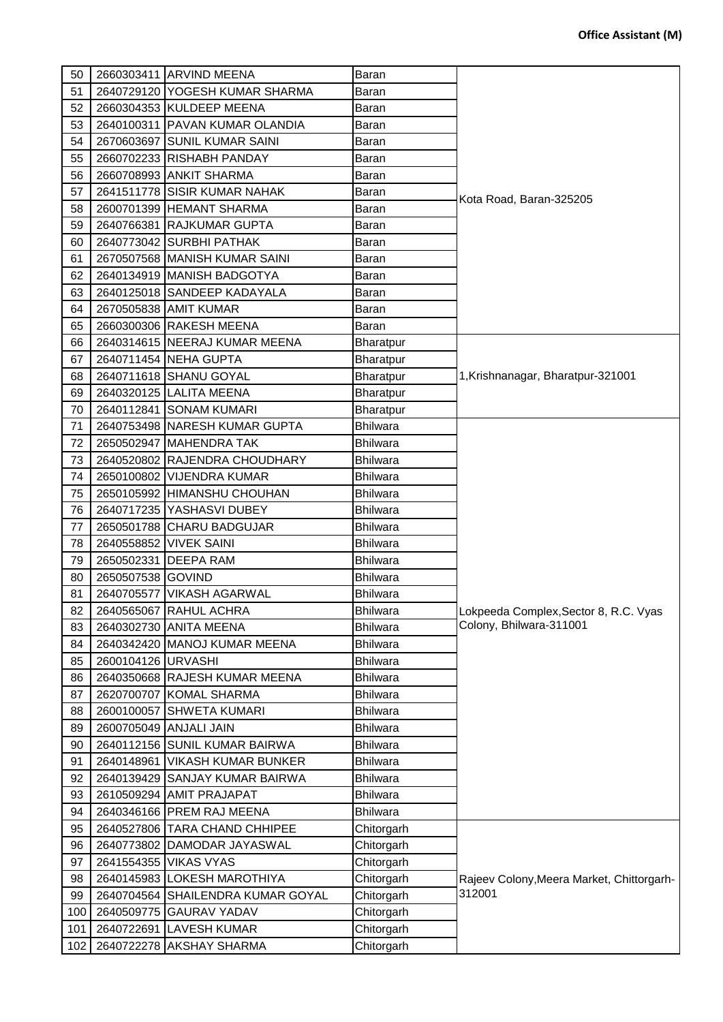| 50  |                    | 2660303411 ARVIND MEENA           | Baran           |                                                     |
|-----|--------------------|-----------------------------------|-----------------|-----------------------------------------------------|
| 51  |                    | 2640729120 YOGESH KUMAR SHARMA    | Baran           |                                                     |
| 52  |                    | 2660304353 KULDEEP MEENA          | Baran           |                                                     |
| 53  |                    | 2640100311 PAVAN KUMAR OLANDIA    | Baran           |                                                     |
| 54  |                    | 2670603697 SUNIL KUMAR SAINI      | Baran           |                                                     |
| 55  |                    | 2660702233 RISHABH PANDAY         | Baran           |                                                     |
| 56  |                    | 2660708993 ANKIT SHARMA           | Baran           |                                                     |
| 57  |                    | 2641511778 SISIR KUMAR NAHAK      | Baran           |                                                     |
| 58  |                    | 2600701399 HEMANT SHARMA          | Baran           | Kota Road, Baran-325205                             |
| 59  |                    | 2640766381 RAJKUMAR GUPTA         | Baran           |                                                     |
| 60  |                    | 2640773042 SURBHI PATHAK          | Baran           |                                                     |
| 61  |                    | 2670507568 MANISH KUMAR SAINI     | Baran           |                                                     |
| 62  |                    | 2640134919 MANISH BADGOTYA        | Baran           |                                                     |
| 63  |                    | 2640125018 SANDEEP KADAYALA       | Baran           |                                                     |
| 64  |                    | 2670505838 AMIT KUMAR             | Baran           |                                                     |
| 65  |                    | 2660300306 RAKESH MEENA           | Baran           |                                                     |
| 66  |                    | 2640314615 NEERAJ KUMAR MEENA     | Bharatpur       |                                                     |
| 67  |                    | 2640711454 NEHA GUPTA             | Bharatpur       |                                                     |
| 68  |                    | 2640711618 SHANU GOYAL            | Bharatpur       | 1, Krishnanagar, Bharatpur-321001                   |
| 69  |                    | 2640320125 LALITA MEENA           | Bharatpur       |                                                     |
| 70  |                    | 2640112841 SONAM KUMARI           | Bharatpur       |                                                     |
| 71  |                    | 2640753498 NARESH KUMAR GUPTA     | Bhilwara        |                                                     |
| 72  |                    | 2650502947 MAHENDRA TAK           | <b>Bhilwara</b> |                                                     |
| 73  |                    | 2640520802 RAJENDRA CHOUDHARY     | Bhilwara        |                                                     |
| 74  |                    | 2650100802 VIJENDRA KUMAR         | Bhilwara        |                                                     |
| 75  |                    | 2650105992 HIMANSHU CHOUHAN       | Bhilwara        |                                                     |
| 76  |                    | 2640717235 YASHASVI DUBEY         | Bhilwara        |                                                     |
| 77  |                    | 2650501788 CHARU BADGUJAR         | Bhilwara        |                                                     |
| 78  |                    | 2640558852 VIVEK SAINI            | Bhilwara        |                                                     |
| 79  |                    | 2650502331 DEEPA RAM              | <b>Bhilwara</b> |                                                     |
| 80  | 2650507538 GOVIND  |                                   | Bhilwara        |                                                     |
| 81  |                    | 2640705577 VIKASH AGARWAL         | <b>Bhilwara</b> |                                                     |
| 82  |                    | 2640565067 RAHUL ACHRA            | <b>Bhilwara</b> | Lokpeeda Complex, Sector 8, R.C. Vyas               |
| 83  |                    | 2640302730 ANITA MEENA            | <b>Bhilwara</b> | Colony, Bhilwara-311001                             |
| 84  |                    | 2640342420 MANOJ KUMAR MEENA      | Bhilwara        |                                                     |
| 85  | 2600104126 URVASHI |                                   | <b>Bhilwara</b> |                                                     |
| 86  |                    | 2640350668 RAJESH KUMAR MEENA     | Bhilwara        |                                                     |
| 87  |                    | 2620700707 KOMAL SHARMA           | Bhilwara        |                                                     |
| 88  |                    | 2600100057 SHWETA KUMARI          | <b>Bhilwara</b> |                                                     |
| 89  |                    | 2600705049 ANJALI JAIN            | <b>Bhilwara</b> |                                                     |
| 90  |                    | 2640112156 SUNIL KUMAR BAIRWA     | Bhilwara        |                                                     |
| 91  |                    | 2640148961 VIKASH KUMAR BUNKER    | Bhilwara        |                                                     |
| 92  |                    | 2640139429 SANJAY KUMAR BAIRWA    | <b>Bhilwara</b> |                                                     |
| 93  |                    | 2610509294 AMIT PRAJAPAT          | Bhilwara        |                                                     |
| 94  |                    | 2640346166 PREM RAJ MEENA         | Bhilwara        |                                                     |
| 95  |                    | 2640527806 TARA CHAND CHHIPEE     | Chitorgarh      |                                                     |
| 96  |                    | 2640773802 DAMODAR JAYASWAL       | Chitorgarh      |                                                     |
| 97  |                    | 2641554355 VIKAS VYAS             | Chitorgarh      |                                                     |
| 98  |                    | 2640145983 LOKESH MAROTHIYA       | Chitorgarh      |                                                     |
| 99  |                    | 2640704564 SHAILENDRA KUMAR GOYAL | Chitorgarh      | Rajeev Colony, Meera Market, Chittorgarh-<br>312001 |
| 100 |                    | 2640509775 GAURAV YADAV           | Chitorgarh      |                                                     |
| 101 |                    | 2640722691 LAVESH KUMAR           | Chitorgarh      |                                                     |
| 102 |                    | 2640722278 AKSHAY SHARMA          | Chitorgarh      |                                                     |
|     |                    |                                   |                 |                                                     |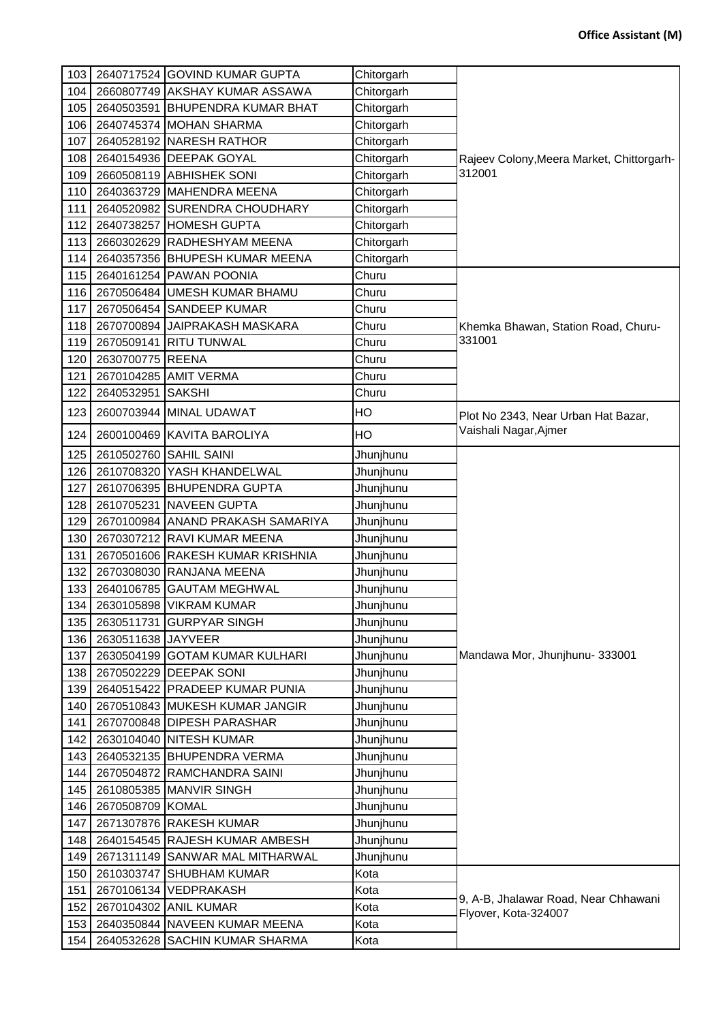| 103 |                        | 2640717524 GOVIND KUMAR GUPTA     | Chitorgarh |                                                              |
|-----|------------------------|-----------------------------------|------------|--------------------------------------------------------------|
| 104 |                        | 2660807749 AKSHAY KUMAR ASSAWA    | Chitorgarh |                                                              |
| 105 |                        | 2640503591 BHUPENDRA KUMAR BHAT   | Chitorgarh |                                                              |
| 106 |                        | 2640745374 MOHAN SHARMA           | Chitorgarh |                                                              |
| 107 |                        | 2640528192 NARESH RATHOR          | Chitorgarh |                                                              |
| 108 |                        | 2640154936 DEEPAK GOYAL           | Chitorgarh | Rajeev Colony, Meera Market, Chittorgarh-                    |
| 109 |                        | 2660508119 ABHISHEK SONI          | Chitorgarh | 312001                                                       |
| 110 |                        | 2640363729 MAHENDRA MEENA         | Chitorgarh |                                                              |
| 111 |                        | 2640520982 SURENDRA CHOUDHARY     | Chitorgarh |                                                              |
| 112 |                        | 2640738257 HOMESH GUPTA           | Chitorgarh |                                                              |
| 113 |                        | 2660302629 RADHESHYAM MEENA       | Chitorgarh |                                                              |
| 114 |                        | 2640357356 BHUPESH KUMAR MEENA    | Chitorgarh |                                                              |
| 115 |                        | 2640161254 PAWAN POONIA           | Churu      |                                                              |
| 116 |                        | 2670506484 UMESH KUMAR BHAMU      | Churu      |                                                              |
| 117 |                        | 2670506454 SANDEEP KUMAR          | Churu      |                                                              |
| 118 |                        | 2670700894 JAIPRAKASH MASKARA     | Churu      | Khemka Bhawan, Station Road, Churu-                          |
| 119 |                        | 2670509141 RITU TUNWAL            | Churu      | 331001                                                       |
| 120 | 2630700775 REENA       |                                   | Churu      |                                                              |
| 121 | 2670104285             | <b>AMIT VERMA</b>                 | Churu      |                                                              |
| 122 | 2640532951 SAKSHI      |                                   | Churu      |                                                              |
| 123 |                        | 2600703944 MINAL UDAWAT           | HO         | Plot No 2343, Near Urban Hat Bazar,                          |
| 124 |                        | 2600100469 KAVITA BAROLIYA        | HO         | Vaishali Nagar, Ajmer                                        |
| 125 | 2610502760 SAHIL SAINI |                                   | Jhunjhunu  |                                                              |
| 126 |                        | 2610708320 YASH KHANDELWAL        | Jhunjhunu  |                                                              |
| 127 |                        | 2610706395 BHUPENDRA GUPTA        | Jhunjhunu  |                                                              |
| 128 |                        | 2610705231 NAVEEN GUPTA           | Jhunjhunu  |                                                              |
| 129 |                        | 2670100984 ANAND PRAKASH SAMARIYA | Jhunjhunu  |                                                              |
| 130 |                        | 2670307212 RAVI KUMAR MEENA       | Jhunjhunu  |                                                              |
| 131 |                        | 2670501606 RAKESH KUMAR KRISHNIA  | Jhunjhunu  |                                                              |
| 132 |                        | 2670308030 RANJANA MEENA          | Jhunjhunu  |                                                              |
| 133 |                        | 2640106785 GAUTAM MEGHWAL         | Jhunjhunu  |                                                              |
| 134 |                        | 2630105898 VIKRAM KUMAR           | Jhunjhunu  |                                                              |
| 135 | 2630511731             | <b>GURPYAR SINGH</b>              | Jhunjhunu  |                                                              |
| 136 | 2630511638 JAYVEER     |                                   | Jhunjhunu  |                                                              |
| 137 |                        | 2630504199 GOTAM KUMAR KULHARI    | Jhunjhunu  | Mandawa Mor, Jhunjhunu-333001                                |
| 138 |                        | 2670502229 DEEPAK SONI            | Jhunjhunu  |                                                              |
| 139 |                        | 2640515422 PRADEEP KUMAR PUNIA    | Jhunjhunu  |                                                              |
| 140 |                        | 2670510843 MUKESH KUMAR JANGIR    | Jhunjhunu  |                                                              |
| 141 |                        | 2670700848 DIPESH PARASHAR        | Jhunjhunu  |                                                              |
| 142 |                        | 2630104040 NITESH KUMAR           | Jhunjhunu  |                                                              |
| 143 |                        | 2640532135 BHUPENDRA VERMA        | Jhunjhunu  |                                                              |
| 144 |                        | 2670504872 RAMCHANDRA SAINI       | Jhunjhunu  |                                                              |
| 145 |                        | 2610805385 MANVIR SINGH           | Jhunjhunu  |                                                              |
| 146 | 2670508709 KOMAL       |                                   | Jhunjhunu  |                                                              |
| 147 |                        | 2671307876 RAKESH KUMAR           | Jhunjhunu  |                                                              |
| 148 |                        | 2640154545 RAJESH KUMAR AMBESH    | Jhunjhunu  |                                                              |
| 149 |                        | 2671311149 SANWAR MAL MITHARWAL   | Jhunjhunu  |                                                              |
| 150 | 2610303747             | <b>SHUBHAM KUMAR</b>              | Kota       |                                                              |
| 151 | 2670106134             | VEDPRAKASH                        | Kota       |                                                              |
| 152 |                        | 2670104302 ANIL KUMAR             | Kota       | 9, A-B, Jhalawar Road, Near Chhawani<br>Flyover, Kota-324007 |
| 153 |                        | 2640350844 NAVEEN KUMAR MEENA     | Kota       |                                                              |
| 154 |                        | 2640532628 SACHIN KUMAR SHARMA    | Kota       |                                                              |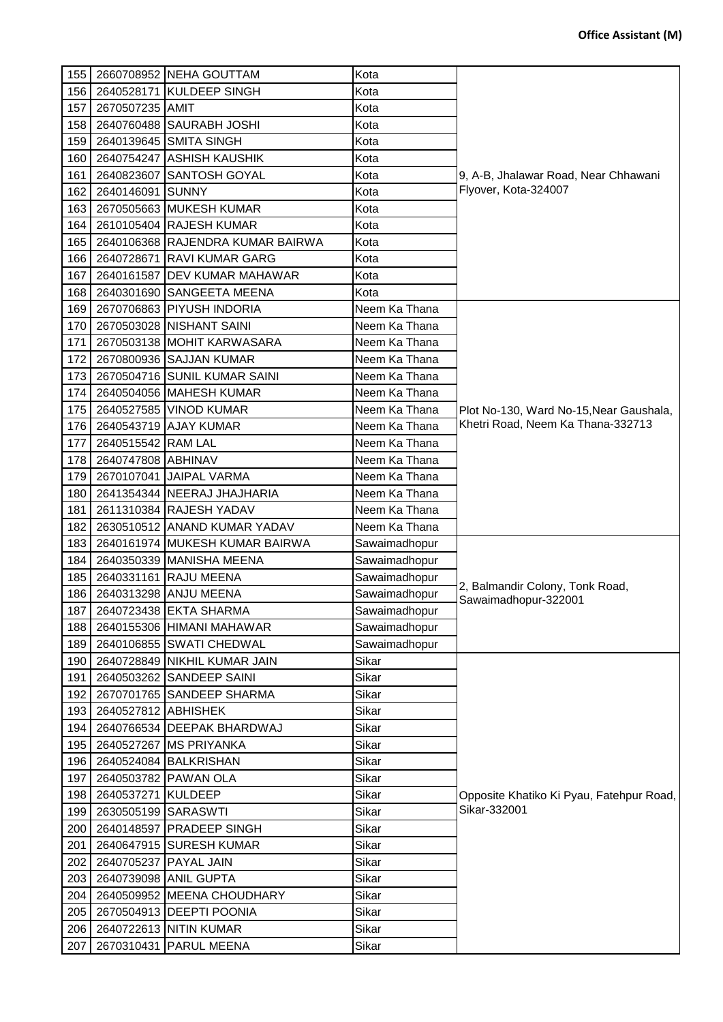| 155              |                       | 2660708952 NEHA GOUTTAM          | Kota          |                                          |
|------------------|-----------------------|----------------------------------|---------------|------------------------------------------|
| 156              |                       | 2640528171 KULDEEP SINGH         | Kota          |                                          |
| 157              | 2670507235 AMIT       |                                  | Kota          |                                          |
| 158              |                       | 2640760488 SAURABH JOSHI         | Kota          |                                          |
| 159              |                       | 2640139645 SMITA SINGH           | Kota          |                                          |
| 160              |                       | 2640754247 ASHISH KAUSHIK        | Kota          |                                          |
| 161              |                       | 2640823607 SANTOSH GOYAL         | Kota          | 9, A-B, Jhalawar Road, Near Chhawani     |
| 162              | 2640146091 SUNNY      |                                  | Kota          | Flyover, Kota-324007                     |
| 163              |                       | 2670505663 MUKESH KUMAR          | Kota          |                                          |
| 164              |                       | 2610105404 RAJESH KUMAR          | Kota          |                                          |
| 165              |                       | 2640106368 RAJENDRA KUMAR BAIRWA | Kota          |                                          |
| 166              | 2640728671            | <b>RAVI KUMAR GARG</b>           | Kota          |                                          |
| 167              |                       | 2640161587 DEV KUMAR MAHAWAR     | Kota          |                                          |
| 168              |                       | 2640301690 SANGEETA MEENA        | Kota          |                                          |
| 169              |                       | 2670706863 PIYUSH INDORIA        | Neem Ka Thana |                                          |
| 170              |                       | 2670503028 NISHANT SAINI         | Neem Ka Thana |                                          |
| 171              |                       | 2670503138 MOHIT KARWASARA       | Neem Ka Thana |                                          |
| 172              |                       | 2670800936 SAJJAN KUMAR          | Neem Ka Thana |                                          |
| 173              |                       | 2670504716 SUNIL KUMAR SAINI     | Neem Ka Thana |                                          |
| 174              |                       | 2640504056 MAHESH KUMAR          | Neem Ka Thana |                                          |
| 175              | 2640527585            | <b>VINOD KUMAR</b>               | Neem Ka Thana | Plot No-130, Ward No-15, Near Gaushala,  |
| 176              |                       | 2640543719 AJAY KUMAR            | Neem Ka Thana | Khetri Road, Neem Ka Thana-332713        |
| 177              | 2640515542 RAM LAL    |                                  | Neem Ka Thana |                                          |
| 178              | 2640747808 ABHINAV    |                                  | Neem Ka Thana |                                          |
| 179              | 2670107041            | <b>JAIPAL VARMA</b>              | Neem Ka Thana |                                          |
| 180              |                       | 2641354344 NEERAJ JHAJHARIA      | Neem Ka Thana |                                          |
| 181              |                       | 2611310384 RAJESH YADAV          | Neem Ka Thana |                                          |
| 182              |                       | 2630510512 ANAND KUMAR YADAV     | Neem Ka Thana |                                          |
| 183              |                       | 2640161974 MUKESH KUMAR BAIRWA   | Sawaimadhopur |                                          |
| 184              |                       | 2640350339 MANISHA MEENA         | Sawaimadhopur |                                          |
| 185              |                       | 2640331161 RAJU MEENA            | Sawaimadhopur |                                          |
| 186              |                       | 2640313298 ANJU MEENA            | Sawaimadhopur | 2, Balmandir Colony, Tonk Road,          |
|                  |                       | 187 2640723438 EKTA SHARMA       |               | Sawaimadhopur-322001                     |
|                  |                       |                                  | Sawaimadhopur |                                          |
| 188              |                       | 2640155306 HIMANI MAHAWAR        | Sawaimadhopur |                                          |
|                  |                       | 189   2640106855   SWATI CHEDWAL | Sawaimadhopur |                                          |
| 190              |                       | 2640728849 NIKHIL KUMAR JAIN     | Sikar         |                                          |
| 191              |                       | 2640503262 SANDEEP SAINI         | Sikar         |                                          |
| 192              |                       | 2670701765 SANDEEP SHARMA        | Sikar         |                                          |
| 193              | 2640527812 ABHISHEK   |                                  | Sikar         |                                          |
| 194              |                       | 2640766534 DEEPAK BHARDWAJ       | Sikar         |                                          |
|                  |                       | 195   2640527267   MS PRIYANKA   | Sikar         |                                          |
|                  |                       | 196   2640524084   BALKRISHAN    | Sikar         |                                          |
| 197              |                       | 2640503782 PAWAN OLA             | Sikar         |                                          |
| 198              | 2640537271 KULDEEP    |                                  | Sikar         | Opposite Khatiko Ki Pyau, Fatehpur Road, |
| 199 <sup>°</sup> | 2630505199 SARASWTI   |                                  | Sikar         | Sikar-332001                             |
| 200              |                       | 2640148597 PRADEEP SINGH         | Sikar         |                                          |
| 201              |                       | 2640647915 SURESH KUMAR          | Sikar         |                                          |
| 202              | 2640705237 PAYAL JAIN |                                  | Sikar         |                                          |
| 203              |                       | 2640739098 ANIL GUPTA            | Sikar         |                                          |
| 204              |                       | 2640509952 MEENA CHOUDHARY       | Sikar         |                                          |
| 205              |                       | 2670504913 DEEPTI POONIA         | Sikar         |                                          |
| 206              |                       | 2640722613 NITIN KUMAR           | Sikar         |                                          |
| 207              |                       | 2670310431 PARUL MEENA           | Sikar         |                                          |